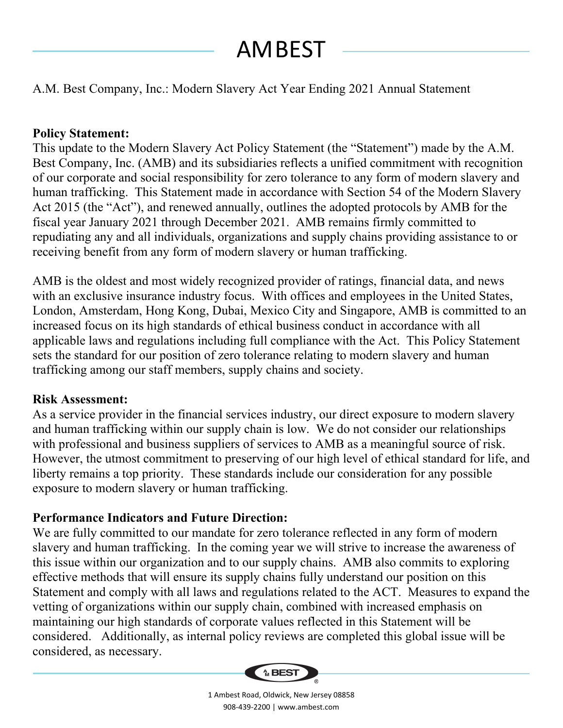# AMBEST

## A.M. Best Company, Inc.: Modern Slavery Act Year Ending 2021 Annual Statement

### **Policy Statement:**

This update to the Modern Slavery Act Policy Statement (the "Statement") made by the A.M. Best Company, Inc. (AMB) and its subsidiaries reflects a unified commitment with recognition of our corporate and social responsibility for zero tolerance to any form of modern slavery and human trafficking. This Statement made in accordance with Section 54 of the Modern Slavery Act 2015 (the "Act"), and renewed annually, outlines the adopted protocols by AMB for the fiscal year January 2021 through December 2021. AMB remains firmly committed to repudiating any and all individuals, organizations and supply chains providing assistance to or receiving benefit from any form of modern slavery or human trafficking.

AMB is the oldest and most widely recognized provider of ratings, financial data, and news with an exclusive insurance industry focus. With offices and employees in the United States, London, Amsterdam, Hong Kong, Dubai, Mexico City and Singapore, AMB is committed to an increased focus on its high standards of ethical business conduct in accordance with all applicable laws and regulations including full compliance with the Act. This Policy Statement sets the standard for our position of zero tolerance relating to modern slavery and human trafficking among our staff members, supply chains and society.

#### **Risk Assessment:**

As a service provider in the financial services industry, our direct exposure to modern slavery and human trafficking within our supply chain is low. We do not consider our relationships with professional and business suppliers of services to AMB as a meaningful source of risk. However, the utmost commitment to preserving of our high level of ethical standard for life, and liberty remains a top priority. These standards include our consideration for any possible exposure to modern slavery or human trafficking.

## **Performance Indicators and Future Direction:**

We are fully committed to our mandate for zero tolerance reflected in any form of modern slavery and human trafficking. In the coming year we will strive to increase the awareness of this issue within our organization and to our supply chains. AMB also commits to exploring effective methods that will ensure its supply chains fully understand our position on this Statement and comply with all laws and regulations related to the ACT. Measures to expand the vetting of organizations within our supply chain, combined with increased emphasis on maintaining our high standards of corporate values reflected in this Statement will be considered. Additionally, as internal policy reviews are completed this global issue will be considered, as necessary.



1 Ambest Road, Oldwick, New Jersey 08858 908-439-2200 | www.ambest.com